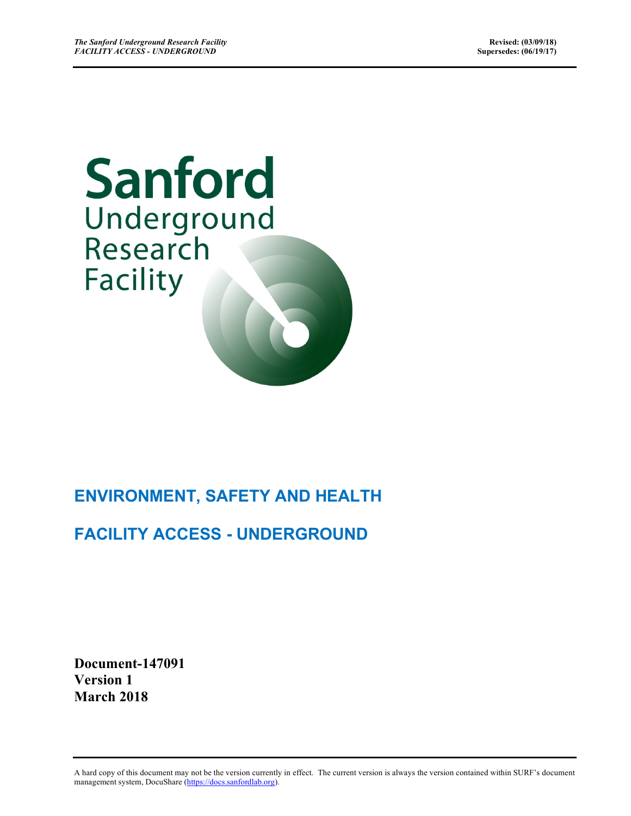# Sanford Underground Research **Facility**

# **ENVIRONMENT, SAFETY AND HEALTH**

# **FACILITY ACCESS - UNDERGROUND**

**Document-147091 Version 1 March 2018**

A hard copy of this document may not be the version currently in effect. The current version is always the version contained within SURF's document management system, DocuShare (https://docs.sanfordlab.org).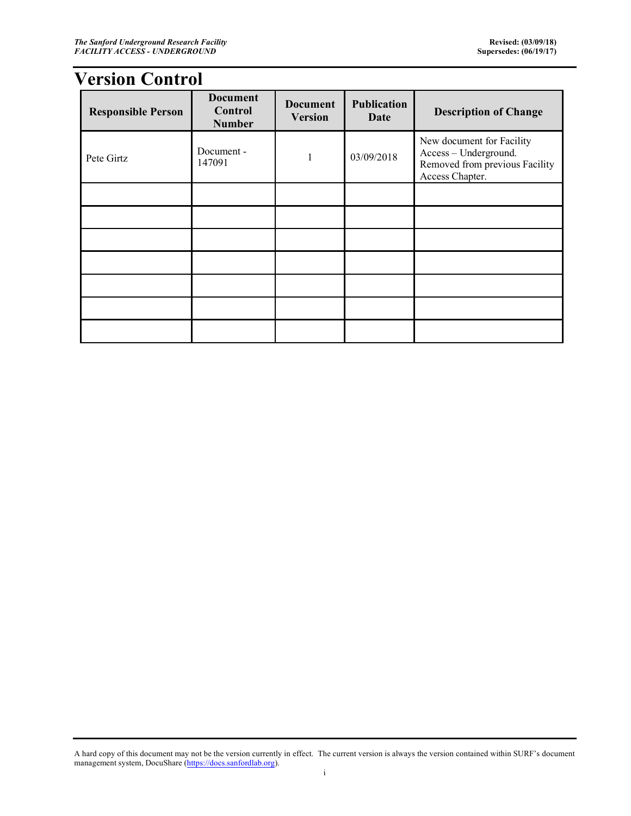# **Version Control**

| <b>Responsible Person</b> | <b>Document</b><br>Control<br><b>Number</b> | <b>Document</b><br><b>Version</b> | <b>Publication</b><br>Date | <b>Description of Change</b>                                                                            |
|---------------------------|---------------------------------------------|-----------------------------------|----------------------------|---------------------------------------------------------------------------------------------------------|
| Pete Girtz                | Document -<br>147091                        |                                   | 03/09/2018                 | New document for Facility<br>Access - Underground.<br>Removed from previous Facility<br>Access Chapter. |
|                           |                                             |                                   |                            |                                                                                                         |
|                           |                                             |                                   |                            |                                                                                                         |
|                           |                                             |                                   |                            |                                                                                                         |
|                           |                                             |                                   |                            |                                                                                                         |
|                           |                                             |                                   |                            |                                                                                                         |
|                           |                                             |                                   |                            |                                                                                                         |
|                           |                                             |                                   |                            |                                                                                                         |

A hard copy of this document may not be the version currently in effect. The current version is always the version contained within SURF's document management system, DocuShare (https://docs.sanfordlab.org).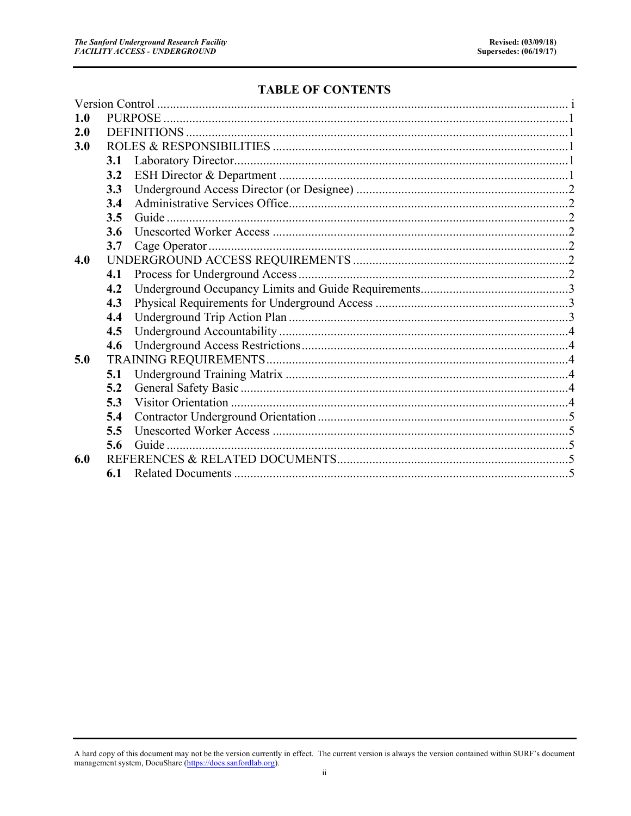#### **TABLE OF CONTENTS**

| 1.0 |     |  |  |  |  |  |  |  |
|-----|-----|--|--|--|--|--|--|--|
| 2.0 |     |  |  |  |  |  |  |  |
| 3.0 |     |  |  |  |  |  |  |  |
|     | 3.1 |  |  |  |  |  |  |  |
|     | 3.2 |  |  |  |  |  |  |  |
|     | 3.3 |  |  |  |  |  |  |  |
|     | 3.4 |  |  |  |  |  |  |  |
|     | 3.5 |  |  |  |  |  |  |  |
|     | 3.6 |  |  |  |  |  |  |  |
|     | 3.7 |  |  |  |  |  |  |  |
| 4.0 |     |  |  |  |  |  |  |  |
|     | 4.1 |  |  |  |  |  |  |  |
|     | 4.2 |  |  |  |  |  |  |  |
|     | 4.3 |  |  |  |  |  |  |  |
|     | 4.4 |  |  |  |  |  |  |  |
|     | 4.5 |  |  |  |  |  |  |  |
|     | 4.6 |  |  |  |  |  |  |  |
| 5.0 |     |  |  |  |  |  |  |  |
|     | 5.1 |  |  |  |  |  |  |  |
|     | 5.2 |  |  |  |  |  |  |  |
|     | 5.3 |  |  |  |  |  |  |  |
|     | 5.4 |  |  |  |  |  |  |  |
|     | 5.5 |  |  |  |  |  |  |  |
|     | 5.6 |  |  |  |  |  |  |  |
| 6.0 |     |  |  |  |  |  |  |  |
|     | 6.1 |  |  |  |  |  |  |  |
|     |     |  |  |  |  |  |  |  |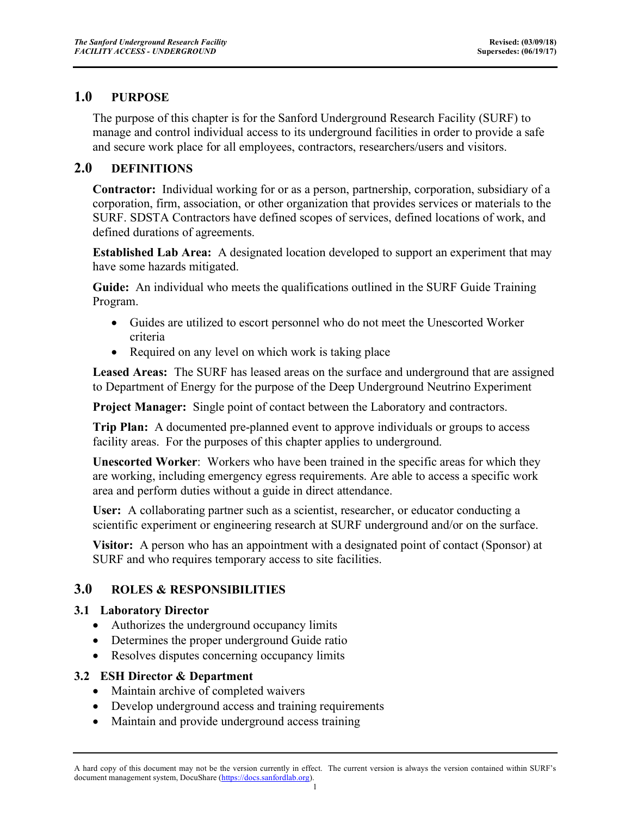## **1.0 PURPOSE**

The purpose of this chapter is for the Sanford Underground Research Facility (SURF) to manage and control individual access to its underground facilities in order to provide a safe and secure work place for all employees, contractors, researchers/users and visitors.

## **2.0 DEFINITIONS**

**Contractor:** Individual working for or as a person, partnership, corporation, subsidiary of a corporation, firm, association, or other organization that provides services or materials to the SURF. SDSTA Contractors have defined scopes of services, defined locations of work, and defined durations of agreements.

**Established Lab Area:** A designated location developed to support an experiment that may have some hazards mitigated.

**Guide:** An individual who meets the qualifications outlined in the SURF Guide Training Program.

- Guides are utilized to escort personnel who do not meet the Unescorted Worker criteria
- Required on any level on which work is taking place

**Leased Areas:** The SURF has leased areas on the surface and underground that are assigned to Department of Energy for the purpose of the Deep Underground Neutrino Experiment

**Project Manager:** Single point of contact between the Laboratory and contractors.

**Trip Plan:** A documented pre-planned event to approve individuals or groups to access facility areas. For the purposes of this chapter applies to underground.

**Unescorted Worker**: Workers who have been trained in the specific areas for which they are working, including emergency egress requirements. Are able to access a specific work area and perform duties without a guide in direct attendance.

**User:** A collaborating partner such as a scientist, researcher, or educator conducting a scientific experiment or engineering research at SURF underground and/or on the surface.

**Visitor:** A person who has an appointment with a designated point of contact (Sponsor) at SURF and who requires temporary access to site facilities.

# **3.0 ROLES & RESPONSIBILITIES**

#### **3.1 Laboratory Director**

- Authorizes the underground occupancy limits
- Determines the proper underground Guide ratio
- Resolves disputes concerning occupancy limits

#### **3.2 ESH Director & Department**

- Maintain archive of completed waivers
- Develop underground access and training requirements
- Maintain and provide underground access training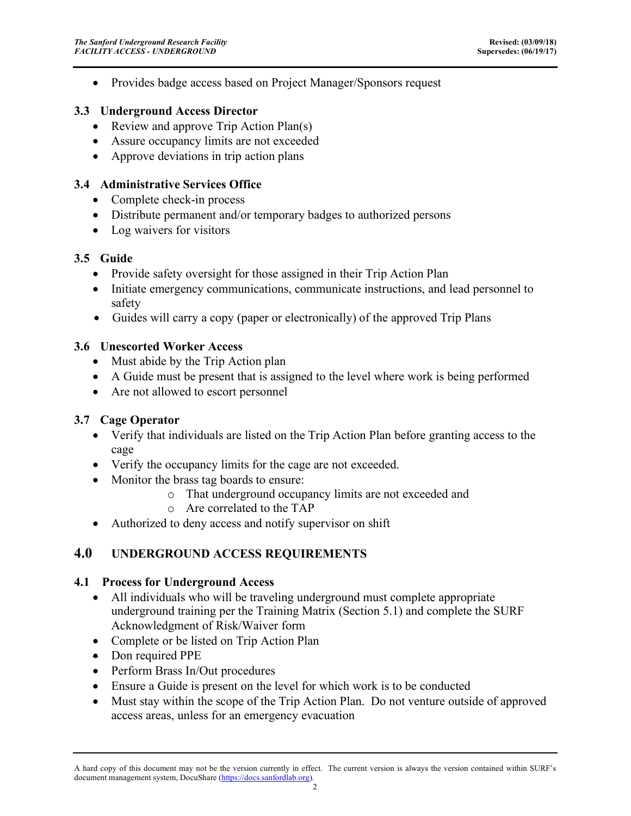• Provides badge access based on Project Manager/Sponsors request

#### **3.3 Underground Access Director**

- Review and approve Trip Action Plan(s)
- Assure occupancy limits are not exceeded
- Approve deviations in trip action plans

#### **3.4 Administrative Services Office**

- Complete check-in process
- Distribute permanent and/or temporary badges to authorized persons
- Log waivers for visitors

#### **3.5 Guide**

- Provide safety oversight for those assigned in their Trip Action Plan
- Initiate emergency communications, communicate instructions, and lead personnel to safety
- Guides will carry a copy (paper or electronically) of the approved Trip Plans

## **3.6 Unescorted Worker Access**

- Must abide by the Trip Action plan
- A Guide must be present that is assigned to the level where work is being performed
- Are not allowed to escort personnel

# **3.7 Cage Operator**

- Verify that individuals are listed on the Trip Action Plan before granting access to the cage
- Verify the occupancy limits for the cage are not exceeded.
- Monitor the brass tag boards to ensure:
	- o That underground occupancy limits are not exceeded and
	- o Are correlated to the TAP
- Authorized to deny access and notify supervisor on shift

# **4.0 UNDERGROUND ACCESS REQUIREMENTS**

#### **4.1 Process for Underground Access**

- All individuals who will be traveling underground must complete appropriate underground training per the Training Matrix (Section 5.1) and complete the SURF Acknowledgment of Risk/Waiver form
- Complete or be listed on Trip Action Plan
- Don required PPE
- Perform Brass In/Out procedures
- Ensure a Guide is present on the level for which work is to be conducted
- Must stay within the scope of the Trip Action Plan. Do not venture outside of approved access areas, unless for an emergency evacuation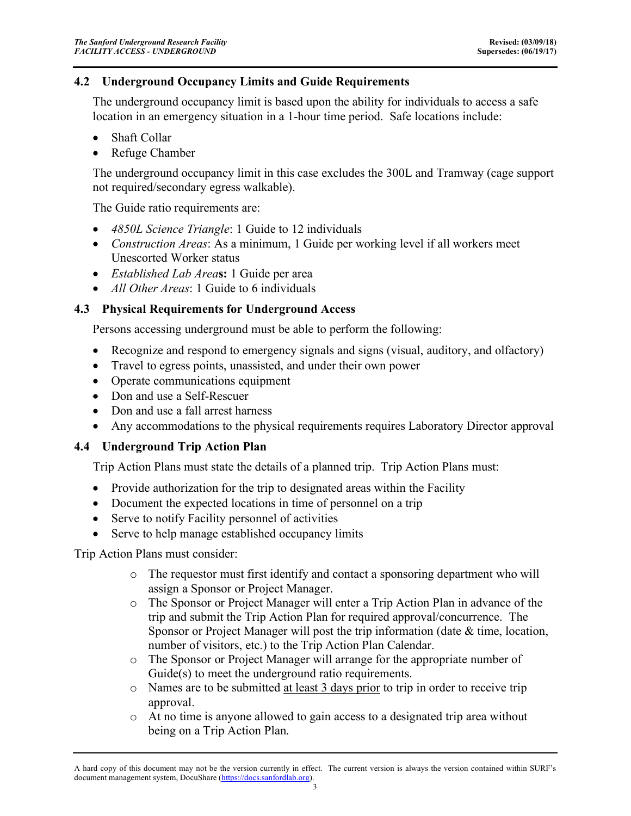#### **4.2 Underground Occupancy Limits and Guide Requirements**

The underground occupancy limit is based upon the ability for individuals to access a safe location in an emergency situation in a 1-hour time period. Safe locations include:

- Shaft Collar
- Refuge Chamber

The underground occupancy limit in this case excludes the 300L and Tramway (cage support not required/secondary egress walkable).

The Guide ratio requirements are:

- *4850L Science Triangle*: 1 Guide to 12 individuals
- *Construction Areas*: As a minimum, 1 Guide per working level if all workers meet Unescorted Worker status
- *Established Lab Area***s:** 1 Guide per area
- *All Other Areas*: 1 Guide to 6 individuals

#### **4.3 Physical Requirements for Underground Access**

Persons accessing underground must be able to perform the following:

- Recognize and respond to emergency signals and signs (visual, auditory, and olfactory)
- Travel to egress points, unassisted, and under their own power
- Operate communications equipment
- Don and use a Self-Rescuer
- Don and use a fall arrest harness
- Any accommodations to the physical requirements requires Laboratory Director approval

#### **4.4 Underground Trip Action Plan**

Trip Action Plans must state the details of a planned trip. Trip Action Plans must:

- Provide authorization for the trip to designated areas within the Facility
- Document the expected locations in time of personnel on a trip
- Serve to notify Facility personnel of activities
- Serve to help manage established occupancy limits

Trip Action Plans must consider:

- o The requestor must first identify and contact a sponsoring department who will assign a Sponsor or Project Manager.
- o The Sponsor or Project Manager will enter a Trip Action Plan in advance of the trip and submit the Trip Action Plan for required approval/concurrence. The Sponsor or Project Manager will post the trip information (date & time, location, number of visitors, etc.) to the Trip Action Plan Calendar.
- o The Sponsor or Project Manager will arrange for the appropriate number of Guide(s) to meet the underground ratio requirements.
- o Names are to be submitted at least 3 days prior to trip in order to receive trip approval.
- o At no time is anyone allowed to gain access to a designated trip area without being on a Trip Action Plan.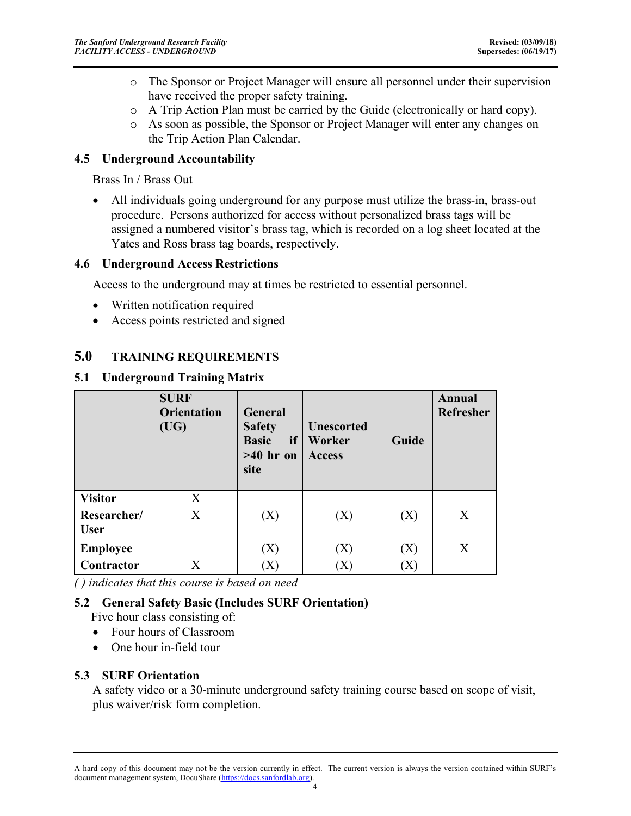- o The Sponsor or Project Manager will ensure all personnel under their supervision have received the proper safety training.
- o A Trip Action Plan must be carried by the Guide (electronically or hard copy).
- o As soon as possible, the Sponsor or Project Manager will enter any changes on the Trip Action Plan Calendar.

#### **4.5 Underground Accountability**

Brass In / Brass Out

• All individuals going underground for any purpose must utilize the brass-in, brass-out procedure. Persons authorized for access without personalized brass tags will be assigned a numbered visitor's brass tag, which is recorded on a log sheet located at the Yates and Ross brass tag boards, respectively.

#### **4.6 Underground Access Restrictions**

Access to the underground may at times be restricted to essential personnel.

- Written notification required
- Access points restricted and signed

# **5.0 TRAINING REQUIREMENTS**

#### **5.1 Underground Training Matrix**

|                            | <b>SURF</b><br><b>Orientation</b><br>(UG) | <b>General</b><br><b>Safety</b><br><b>Basic</b><br>if<br>$>40$ hr on<br>site | <b>Unescorted</b><br>Worker<br><b>Access</b> | Guide                                           | Annual<br>Refresher |
|----------------------------|-------------------------------------------|------------------------------------------------------------------------------|----------------------------------------------|-------------------------------------------------|---------------------|
| <b>Visitor</b>             | X                                         |                                                                              |                                              |                                                 |                     |
| Researcher/<br><b>User</b> | X                                         | (X)                                                                          | (X)                                          | (X)                                             | X                   |
| <b>Employee</b>            |                                           | $\left( \mathrm{X}\right)$                                                   | $\left( \mathrm{X}\right)$                   | $\left[ \right. \rangle \! X \! \left. \right]$ | X                   |
| Contractor                 | X                                         | $\left[ \right]$                                                             | $\rm X$ )                                    |                                                 |                     |

*( ) indicates that this course is based on need*

#### **5.2 General Safety Basic (Includes SURF Orientation)**

Five hour class consisting of:

- Four hours of Classroom
- One hour in-field tour

#### **5.3 SURF Orientation**

A safety video or a 30-minute underground safety training course based on scope of visit, plus waiver/risk form completion.